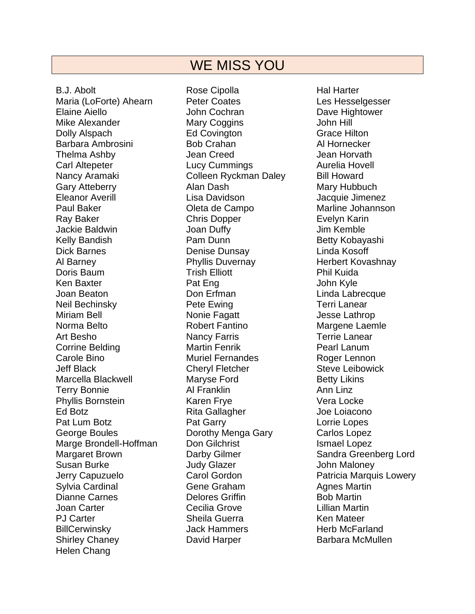## WE MISS YOU

B.J. Abolt Maria (LoForte) Ahearn Elaine Aiello Mike Alexander Dolly Alspach Barbara Ambrosini Thelma Ashby Carl Altepeter Nancy Aramaki Gary Atteberry Eleanor Averill Paul Baker Ray Baker Jackie Baldwin Kelly Bandish Dick Barnes Al Barney Doris Baum Ken Baxter Joan Beaton Neil Bechinsky Miriam Bell Norma Belto Art Besho Corrine Belding Carole Bino Jeff Black Marcella Blackwell Terry Bonnie Phyllis Bornstein Ed Botz Pat Lum Botz George Boules Marge Brondell-Hoffman Margaret Brown Susan Burke Jerry Capuzuelo Sylvia Cardinal Dianne Carnes Joan Carter PJ Carter **BillCerwinsky** Shirley Chaney Helen Chang

Rose Cipolla Peter Coates John Cochran Mary Coggins Ed Covington Bob Crahan Jean Creed Lucy Cummings Colleen Ryckman Daley Alan Dash Lisa Davidson Oleta de Campo Chris Dopper Joan Duffy Pam Dunn Denise Dunsay Phyllis Duvernay Trish Elliott Pat Eng Don Erfman Pete Ewing Nonie Fagatt Robert Fantino Nancy Farris Martin Fenrik Muriel Fernandes Cheryl Fletcher Maryse Ford Al Franklin Karen Frye Rita Gallagher Pat Garry Dorothy Menga Gary Don Gilchrist Darby Gilmer Judy Glazer Carol Gordon Gene Graham Delores Griffin Cecilia Grove Sheila Guerra Jack Hammers David Harper

Hal Harter Les Hesselgesser Dave Hightower John Hill Grace Hilton Al Hornecker Jean Horvath Aurelia Hovell Bill Howard Mary Hubbuch Jacquie Jimenez Marline Johannson Evelyn Karin Jim Kemble Betty Kobayashi Linda Kosoff Herbert Kovashnay Phil Kuida John Kyle Linda Labrecque Terri Lanear Jesse Lathrop Margene Laemle Terrie Lanear Pearl Lanum Roger Lennon Steve Leibowick Betty Likins Ann Linz Vera Locke Joe Loiacono Lorrie Lopes Carlos Lopez Ismael Lopez Sandra Greenberg Lord John Maloney Patricia Marquis Lowery Agnes Martin Bob Martin Lillian Martin Ken Mateer Herb McFarland Barbara McMullen